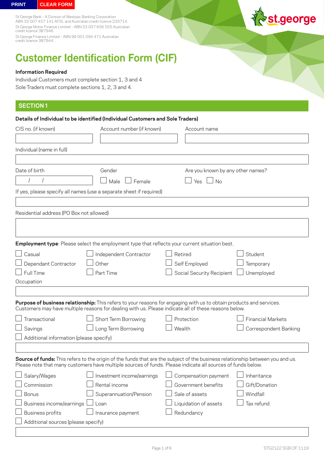St.George Bank – A Division of Westpac Banking Corporation ABN 33 007 457 141 AFSL and Australian credit licence 233714. St.George Motor Finance Limited – ABN 53 007 656 555 Australian credit licence 387946.

St.George Finance Limited – ABN 99 001 094 471 Australian credit licence 387944.



# **Customer Identification Form (CIF)**

## **Information Required**

Individual Customers must complete section 1, 3 and 4 Sole Traders must complete sections 1, 2, 3 and 4.

# **SECTION 1**

| Details of Individual to be identified (Individual Customers and Sole Traders) |                                                                                                                                                                                                                                              |                                   |                          |  |
|--------------------------------------------------------------------------------|----------------------------------------------------------------------------------------------------------------------------------------------------------------------------------------------------------------------------------------------|-----------------------------------|--------------------------|--|
| CIS no. (if known)                                                             | Account number (if known)                                                                                                                                                                                                                    | Account name                      |                          |  |
|                                                                                |                                                                                                                                                                                                                                              |                                   |                          |  |
| Individual (name in full)                                                      |                                                                                                                                                                                                                                              |                                   |                          |  |
|                                                                                |                                                                                                                                                                                                                                              |                                   |                          |  |
| Date of birth                                                                  | Gender                                                                                                                                                                                                                                       | Are you known by any other names? |                          |  |
|                                                                                | Male<br>Female                                                                                                                                                                                                                               | <b>No</b><br>Yes                  |                          |  |
|                                                                                | If yes, please specify all names (use a separate sheet if required)                                                                                                                                                                          |                                   |                          |  |
|                                                                                |                                                                                                                                                                                                                                              |                                   |                          |  |
| Residential address (PO Box not allowed)                                       |                                                                                                                                                                                                                                              |                                   |                          |  |
|                                                                                |                                                                                                                                                                                                                                              |                                   |                          |  |
|                                                                                |                                                                                                                                                                                                                                              |                                   |                          |  |
|                                                                                | Employment type: Please select the employment type that reflects your current situation best.                                                                                                                                                |                                   |                          |  |
| Casual                                                                         | Independent Contractor                                                                                                                                                                                                                       | Retired                           | Student                  |  |
| Dependant Contractor                                                           | Other                                                                                                                                                                                                                                        | Self Employed                     | Temporary                |  |
| Full Time                                                                      | Part Time                                                                                                                                                                                                                                    | Social Security Recipient         | Unemployed               |  |
| Occupation                                                                     |                                                                                                                                                                                                                                              |                                   |                          |  |
|                                                                                |                                                                                                                                                                                                                                              |                                   |                          |  |
|                                                                                | Purpose of business relationship: This refers to your reasons for engaging with us to obtain products and services.<br>Customers may have multiple reasons for dealing with us. Please indicate all of these reasons below.                  |                                   |                          |  |
| Transactional                                                                  | Short Term Borrowing                                                                                                                                                                                                                         | Protection                        | <b>Financial Markets</b> |  |
| Savings                                                                        | Long Term Borrowing                                                                                                                                                                                                                          | Wealth                            | Correspondent Banking    |  |
| Additional information (please specify)                                        |                                                                                                                                                                                                                                              |                                   |                          |  |
|                                                                                |                                                                                                                                                                                                                                              |                                   |                          |  |
|                                                                                | Source of funds: This refers to the origin of the funds that are the subject of the business relationship between you and us.<br>Please note that many customers have multiple sources of funds. Please indicate all sources of funds below. |                                   |                          |  |
| Salary/Wages                                                                   | Investment income/earnings                                                                                                                                                                                                                   | Compensation payment              | Inheritance              |  |
| Commission                                                                     | Rental income                                                                                                                                                                                                                                | Government benefits               | Gift/Donation            |  |
| <b>Bonus</b>                                                                   | Superannuation/Pension                                                                                                                                                                                                                       | Sale of assets                    | Windfall                 |  |
| Business income/earnings                                                       | Loan                                                                                                                                                                                                                                         | Liquidation of assets             | Tax refund               |  |
| <b>Business profits</b>                                                        | Insurance payment                                                                                                                                                                                                                            | Redundancy                        |                          |  |
| Additional sources (please specify)                                            |                                                                                                                                                                                                                                              |                                   |                          |  |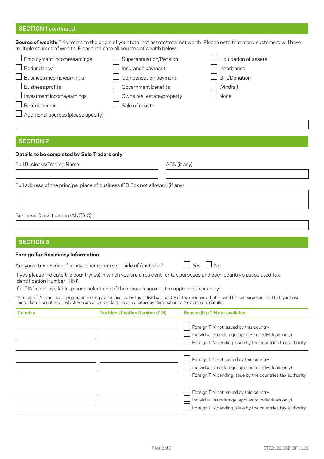# **SECTION 1** *continued*

**Source of wealth:** This refers to the origin of your total net assets/total net worth. Please note that many customers will have multiple sources of wealth. Please indicate all sources of wealth below.

| $\Box$ Employment income/earnings          | Superannuation/Pension    | Liquidation of assets |
|--------------------------------------------|---------------------------|-----------------------|
| Redundancy                                 | Insurance payment         | Inheritance           |
| $\Box$ Business income/earnings            | Compensation payment      | Gift/Donation         |
| $\Box$ Business profits                    | Government benefits       | Windfall              |
| $\Box$ Investment income/earnings          | Owns real estate/property | None                  |
| Rental income                              | Sale of assets            |                       |
| $\Box$ Additional sources (please specify) |                           |                       |

# **SECTION 2**

#### **Details to be completed by Sole Traders only**

Full Business/Trading Name ABN (if any)

Full address of the principal place of business (PO Box not allowed) (if any)

Business Classification (ANZSIC)

# **SECTION 3**

#### **Foreign Tax Residency Information**

Are you a tax resident for any other country outside of Australia?  $\Box$  Yes  $\Box$  No

If yes please indicate the country(ies) in which you are a resident for tax purposes and each country's associated Tax Identification Number (TIN)\*.

If a 'TIN' is not available, please select one of the reasons against the appropriate country:

\* A foreign TIN is an identifying number or equivalent issued by the individual country of tax residency that is used for tax purposes. NOTE: If you have more than 3 countries in which you are a tax resident, please photocopy this section to provide more details.

| Country | <b>Tax Identification Number (TIN)</b> | Reason (if a TIN not available)                                                                                                                            |
|---------|----------------------------------------|------------------------------------------------------------------------------------------------------------------------------------------------------------|
|         |                                        | Foreign TIN not issued by this country<br>Individual is underage (applies to individuals only)<br>Foreign TIN pending issue by the countries tax authority |
|         |                                        | Foreign TIN not issued by this country<br>Individual is underage (applies to individuals only)<br>Foreign TIN pending issue by the countries tax authority |
|         |                                        | Foreign TIN not issued by this country<br>Individual is underage (applies to individuals only)<br>Foreign TIN pending issue by the countries tax authority |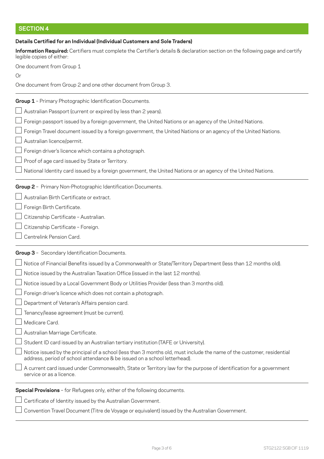# **SECTION 4**

# **Details Certified for an Individual (Individual Customers and Sole Traders)**

**Information Required:** Certifiers must complete the Certifier's details & declaration section on the following page and certify legible copies of either:

One document from Group 1

Or

One document from Group 2 and one other document from Group 3.

# **Group 1** – Primary Photographic Identification Documents.

- $\Box$  Australian Passport (current or expired by less than 2 years).
- Foreign passport issued by a foreign government, the United Nations or an agency of the United Nations.
- $\perp$  Foreign Travel document issued by a foreign government, the United Nations or an agency of the United Nations.
- Australian licence/permit.
- $\perp$  Foreign driver's licence which contains a photograph.
- $\Box$  Proof of age card issued by State or Territory.
- $\Box$  National Identity card issued by a foreign government, the United Nations or an agency of the United Nations.

# **Group 2** – Primary Non-Photographic Identification Documents.

- Australian Birth Certificate or extract.
- Foreign Birth Certificate.
- Citizenship Certificate Australian.
- Citizenship Certificate Foreign.
- Centrelink Pension Card.

# **Group 3** – Secondary Identification Documents.

- Notice of Financial Benefits issued by a Commonwealth or State/Territory Department (less than 12 months old).
- Notice issued by the Australian Taxation Office (issued in the last 12 months).
- $\perp$  Notice issued by a Local Government Body or Utilities Provider (less than 3 months old).
- Foreign driver's licence which does not contain a photograph.
- Department of Veteran's Affairs pension card.
- Tenancy/lease agreement (must be current).
- Medicare Card.
- Australian Marriage Certificate.
- $\Box$  Student ID card issued by an Australian tertiary institution (TAFE or University).
- Notice issued by the principal of a school (less than 3 months old, must include the name of the customer, residential address, period of school attendance & be issued on a school letterhead).
- $\perp$  A current card issued under Commonwealth. State or Territory law for the purpose of identification for a government service or as a licence.

# **Special Provisions** – for Refugees only, either of the following documents.

- $\perp$  Certificate of Identity issued by the Australian Government.
- $\perp$  Convention Travel Document (Titre de Voyage or equivalent) issued by the Australian Government.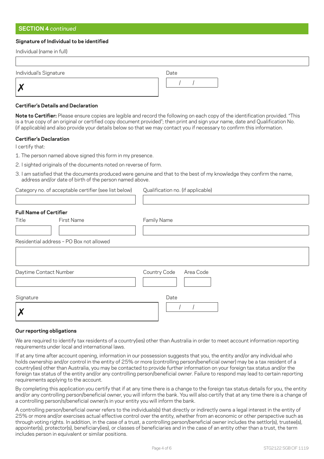# **SECTION 4** *continued*

### **Signature of Individual to be identified**

| Individual (name in full) |      |
|---------------------------|------|
|                           |      |
| Individual's Signature    | Date |
| X                         |      |

#### **Certifier's Details and Declaration**

**Note to Certifier:** Please ensure copies are legible and record the following on each copy of the identification provided. "This is a true copy of an original or certified copy document provided"; then print and sign your name, date and Qualification No. (if applicable) and also provide your details below so that we may contact you if necessary to confirm this information.

#### **Certifier's Declaration**

I certify that:

1. The person named above signed this form in my presence.

- 2. I sighted originals of the documents noted on reverse of form.
- 3. I am satisfied that the documents produced were genuine and that to the best of my knowledge they confirm the name, address and/or date of birth of the person named above.

| Category no. of acceptable certifier (see list below) Qualif |  |
|--------------------------------------------------------------|--|
|                                                              |  |

fication no. (if applicable)

| <b>Full Name of Certifier</b> |                                          |                           |
|-------------------------------|------------------------------------------|---------------------------|
| Title                         | First Name                               | Family Name               |
|                               |                                          |                           |
|                               | Residential address - PO Box not allowed |                           |
|                               |                                          |                           |
|                               |                                          |                           |
| Daytime Contact Number        |                                          | Country Code<br>Area Code |
|                               |                                          |                           |
| Signature                     |                                          | Date                      |
|                               |                                          |                           |
|                               |                                          |                           |
|                               |                                          |                           |

#### **Our reporting obligations**

We are required to identify tax residents of a country(ies) other than Australia in order to meet account information reporting requirements under local and international laws.

If at any time after account opening, information in our possession suggests that you, the entity and/or any individual who holds ownership and/or control in the entity of 25% or more (controlling person/beneficial owner) may be a tax resident of a country(ies) other than Australia, you may be contacted to provide further information on your foreign tax status and/or the foreign tax status of the entity and/or any controlling person/beneficial owner. Failure to respond may lead to certain reporting requirements applying to the account.

By completing this application you certify that if at any time there is a change to the foreign tax status details for you, the entity and/or any controlling person/beneficial owner, you will inform the bank. You will also certify that at any time there is a change of a controlling person/s/beneficial owner/s in your entity you will inform the bank.

A controlling person/beneficial owner refers to the individuals(s) that directly or indirectly owns a legal interest in the entity of 25% or more and/or exercises actual effective control over the entity, whether from an economic or other perspective such as through voting rights. In addition, in the case of a trust, a controlling person/beneficial owner includes the settlor(s), trustee(s), appointer(s), protector(s), beneficiary(ies), or classes of beneficiaries and in the case of an entity other than a trust, the term includes person in equivalent or similar positions.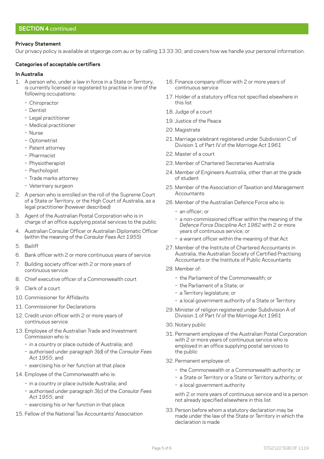# **Privacy Statement**

Our privacy policy is available at [stgeorge.com.au](http://stgeorge.com.au) or by calling 13 33 30, and covers how we handle your personal information.

## **Categories of acceptable certifiers**

#### **In Australia**

- 1. A person who, under a law in force in a State or Territory, is currently licensed or registered to practise in one of the following occupations:
	- Chiropractor
	- Dentist
	- Legal practitioner
	- Medical practitioner
	- Nurse
	- Optometrist
	- Patent attorney
	- Pharmacist
	- Physiotherapist
	- Psychologist
	- Trade marks attorney
	- Veterinary surgeon
- 2. A person who is enrolled on the roll of the Supreme Court of a State or Territory, or the High Court of Australia, as a legal practitioner (however described)
- 3. Agent of the Australian Postal Corporation who is in charge of an office supplying postal services to the public
- 4. Australian Consular Officer or Australian Diplomatic Officer (within the meaning of the *Consular Fees Act 1955*)
- 5. Bailiff
- 6. Bank officer with 2 or more continuous years of service
- 7. Building society officer with 2 or more years of continuous service
- 8. Chief executive officer of a Commonwealth court
- 9. Clerk of a court
- 10. Commissioner for Affidavits
- 11. Commissioner for Declarations
- 12. Credit union officer with 2 or more years of continuous service
- 13. Employee of the Australian Trade and Investment Commission who is:
	- in a country or place outside of Australia; and
	- ν authorised under paragraph 3(d) of the *Consular Fees Act 1955*; and
	- exercising his or her function at that place
- 14. Employee of the Commonwealth who is:
	- in a country or place outside Australia; and
	- ν authorised under paragraph 3(c) of the *Consular Fees Act 1955*; and
	- exercising his or her function in that place
- 15. Fellow of the National Tax Accountants' Association
- 16. Finance company officer with 2 or more years of continuous service
- 17. Holder of a statutory office not specified elsewhere in this list
- 18. Judge of a court
- 19. Justice of the Peace
- 20. Magistrate
- 21. Marriage celebrant registered under Subdivision C of Division 1 of Part IV of the *Marriage Act 1961*
- 22. Master of a court
- 23. Member of Chartered Secretaries Australia
- 24. Member of Engineers Australia, other than at the grade of student
- 25. Member of the Association of Taxation and Management **Accountants**
- 26. Member of the Australian Defence Force who is:
	- an officer: or
	- a non-commissioned officer within the meaning of the *Defence Force Discipline Act 1982* with 2 or more years of continuous service; or
	- a warrant officer within the meaning of that Act
- 27. Member of the Institute of Chartered Accountants in Australia, the Australian Society of Certified Practising Accountants or the Institute of Public Accountants
- 28. Member of:
	- the Parliament of the Commonwealth; or
	- the Parliament of a State; or
	- a Territory legislature; or
	- a local government authority of a State or Territory
- 29. Minister of religion registered under Subdivision A of Division 1 of Part IV of the *Marriage Act 1961*
- 30. Notary public
- 31. Permanent employee of the Australian Postal Corporation with 2 or more years of continuous service who is employed in an office supplying postal services to the public
- 32. Permanent employee of:
	- the Commonwealth or a Commonwealth authority; or
	- a State or Territory or a State or Territory authority; or
	- a local government authority

with 2 or more years of continuous service and is a person not already specified elsewhere in this list

33. Person before whom a statutory declaration may be made under the law of the State or Territory in which the declaration is made